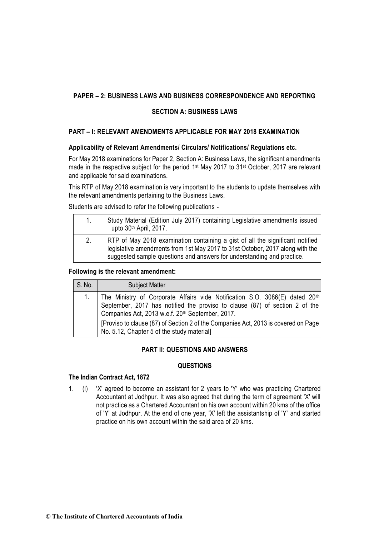## **SECTION A: BUSINESS LAWS**

## **PART – I: RELEVANT AMENDMENTS APPLICABLE FOR MAY 2018 EXAMINATION**

### **Applicability of Relevant Amendments/ Circulars/ Notifications/ Regulations etc.**

For May 2018 examinations for Paper 2, Section A: Business Laws, the significant amendments made in the respective subject for the period 1<sup>st</sup> May 2017 to 31<sup>st</sup> October, 2017 are relevant and applicable for said examinations.

This RTP of May 2018 examination is very important to the students to update themselves with the relevant amendments pertaining to the Business Laws.

Students are advised to refer the following publications -

| 1. | Study Material (Edition July 2017) containing Legislative amendments issued<br>upto 30th April, 2017.                                                                                                                                    |
|----|------------------------------------------------------------------------------------------------------------------------------------------------------------------------------------------------------------------------------------------|
| 2. | RTP of May 2018 examination containing a gist of all the significant notified<br>legislative amendments from 1st May 2017 to 31st October, 2017 along with the<br>suggested sample questions and answers for understanding and practice. |

#### **Following is the relevant amendment:**

| S. No. | <b>Subject Matter</b>                                                                                                                                                                                                                                                                                                                                                      |
|--------|----------------------------------------------------------------------------------------------------------------------------------------------------------------------------------------------------------------------------------------------------------------------------------------------------------------------------------------------------------------------------|
|        | The Ministry of Corporate Affairs vide Notification S.O. 3086(E) dated 20 <sup>th</sup><br>September, 2017 has notified the proviso to clause (87) of section 2 of the<br>Companies Act, 2013 w.e.f. 20 <sup>th</sup> September, 2017.<br>[Proviso to clause (87) of Section 2 of the Companies Act, 2013 is covered on Page<br>No. 5.12, Chapter 5 of the study material] |

## **PART II: QUESTIONS AND ANSWERS**

#### **QUESTIONS**

#### **The Indian Contract Act, 1872**

1. (i) 'X' agreed to become an assistant for 2 years to 'Y' who was practicing Chartered Accountant at Jodhpur. It was also agreed that during the term of agreement 'X' will not practice as a Chartered Accountant on his own account within 20 kms of the office of 'Y' at Jodhpur. At the end of one year, 'X' left the assistantship of 'Y' and started practice on his own account within the said area of 20 kms.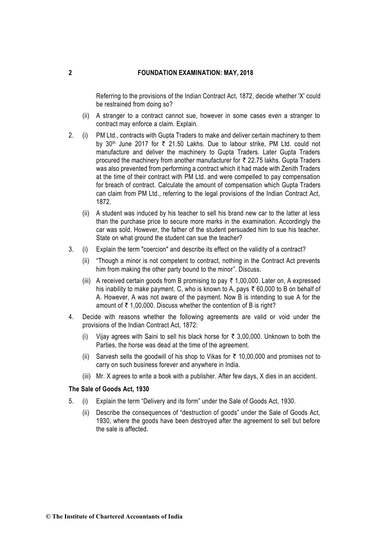Referring to the provisions of the Indian Contract Act, 1872, decide whether 'X' could be restrained from doing so?

- (ii) A stranger to a contract cannot sue, however in some cases even a stranger to contract may enforce a claim. Explain.
- 2. (i) PM Ltd., contracts with Gupta Traders to make and deliver certain machinery to them by 30<sup>th</sup> June 2017 for ₹ 21.50 Lakhs. Due to labour strike, PM Ltd. could not manufacture and deliver the machinery to Gupta Traders. Later Gupta Traders procured the machinery from another manufacturer for  $\bar{\tau}$  22.75 lakhs. Gupta Traders was also prevented from performing a contract which it had made with Zenith Traders at the time of their contract with PM Ltd. and were compelled to pay compensation for breach of contract. Calculate the amount of compensation which Gupta Traders can claim from PM Ltd., referring to the legal provisions of the Indian Contract Act, 1872.
	- (ii) A student was induced by his teacher to sell his brand new car to the latter at less than the purchase price to secure more marks in the examination. Accordingly the car was sold. However, the father of the student persuaded him to sue his teacher. State on what ground the student can sue the teacher?
- 3. (i) Explain the term "coercion" and describe its effect on the validity of a contract?
	- (ii) "Though a minor is not competent to contract, nothing in the Contract Act prevents him from making the other party bound to the minor". Discuss.
	- (iii) A received certain goods from B promising to pay  $\bar{\tau}$  1,00,000. Later on, A expressed his inability to make payment. C, who is known to A, pays  $\bar{\tau}$  60,000 to B on behalf of A. However, A was not aware of the payment. Now B is intending to sue A for the amount of  $\bar{\tau}$  1,00,000. Discuss whether the contention of B is right?
- 4. Decide with reasons whether the following agreements are valid or void under the provisions of the Indian Contract Act, 1872:
	- (i) Vijay agrees with Saini to sell his black horse for  $\bar{\tau}$  3,00,000. Unknown to both the Parties, the horse was dead at the time of the agreement.
	- (ii) Sarvesh sells the goodwill of his shop to Vikas for  $\bar{\tau}$  10,00,000 and promises not to carry on such business forever and anywhere in India.
	- (iii) Mr. X agrees to write a book with a publisher. After few days, X dies in an accident.

#### **The Sale of Goods Act, 1930**

- 5. (i) Explain the term "Delivery and its form" under the Sale of Goods Act, 1930.
	- (ii) Describe the consequences of "destruction of goods" under the Sale of Goods Act, 1930, where the goods have been destroyed after the agreement to sell but before the sale is affected.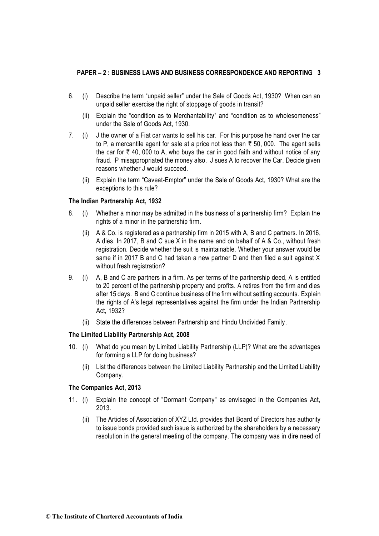- 6. (i) Describe the term "unpaid seller" under the Sale of Goods Act, 1930? When can an unpaid seller exercise the right of stoppage of goods in transit?
	- (ii) Explain the "condition as to Merchantability" and "condition as to wholesomeness" under the Sale of Goods Act, 1930.
- 7. (i) J the owner of a Fiat car wants to sell his car. For this purpose he hand over the car to P, a mercantile agent for sale at a price not less than  $\bar{\tau}$  50, 000. The agent sells the car for  $\bar{\tau}$  40, 000 to A, who buys the car in good faith and without notice of any fraud. P misappropriated the money also. J sues A to recover the Car. Decide given reasons whether J would succeed.
	- (ii) Explain the term "Caveat-Emptor" under the Sale of Goods Act, 1930? What are the exceptions to this rule?

#### **The Indian Partnership Act, 1932**

- 8. (i) Whether a minor may be admitted in the business of a partnership firm? Explain the rights of a minor in the partnership firm.
	- (ii) A & Co. is registered as a partnership firm in 2015 with A, B and C partners. In 2016, A dies. In 2017, B and C sue X in the name and on behalf of A & Co., without fresh registration. Decide whether the suit is maintainable. Whether your answer would be same if in 2017 B and C had taken a new partner D and then filed a suit against X without fresh registration?
- 9. (i) A, B and C are partners in a firm. As per terms of the partnership deed, A is entitled to 20 percent of the partnership property and profits. A retires from the firm and dies after 15 days. B and C continue business of the firm without settling accounts. Explain the rights of A's legal representatives against the firm under the Indian Partnership Act, 1932?
	- (ii) State the differences between Partnership and Hindu Undivided Family.

#### **The Limited Liability Partnership Act, 2008**

- 10. (i) What do you mean by Limited Liability Partnership (LLP)? What are the advantages for forming a LLP for doing business?
	- (ii) List the differences between the Limited Liability Partnership and the Limited Liability Company.

#### **The Companies Act, 2013**

- 11. (i) Explain the concept of "Dormant Company" as envisaged in the Companies Act, 2013.
	- (ii) The Articles of Association of XYZ Ltd. provides that Board of Directors has authority to issue bonds provided such issue is authorized by the shareholders by a necessary resolution in the general meeting of the company. The company was in dire need of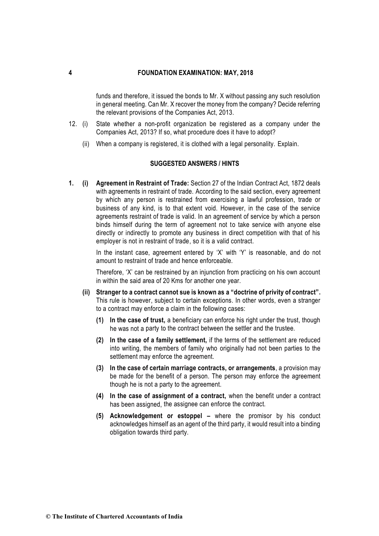funds and therefore, it issued the bonds to Mr. X without passing any such resolution in general meeting. Can Mr. X recover the money from the company? Decide referring the relevant provisions of the Companies Act, 2013.

- 12. (i) State whether a non-profit organization be registered as a company under the Companies Act, 2013? If so, what procedure does it have to adopt?
	- (ii) When a company is registered, it is clothed with a legal personality. Explain.

### **SUGGESTED ANSWERS / HINTS**

**1. (i) Agreement in Restraint of Trade:** Section 27 of the Indian Contract Act, 1872 deals with agreements in restraint of trade. According to the said section, every agreement by which any person is restrained from exercising a lawful profession, trade or business of any kind, is to that extent void. However, in the case of the service agreements restraint of trade is valid. In an agreement of service by which a person binds himself during the term of agreement not to take service with anyone else directly or indirectly to promote any business in direct competition with that of his employer is not in restraint of trade, so it is a valid contract.

> In the instant case, agreement entered by 'X' with 'Y' is reasonable, and do not amount to restraint of trade and hence enforceable.

> Therefore, 'X' can be restrained by an injunction from practicing on his own account in within the said area of 20 Kms for another one year.

- **(ii) Stranger to a contract cannot sue is known as a "doctrine of privity of contract".**  This rule is however, subject to certain exceptions. In other words, even a stranger to a contract may enforce a claim in the following cases:
	- **(1) In the case of trust,** a beneficiary can enforce his right under the trust, though he was not a party to the contract between the settler and the trustee.
	- **(2) In the case of a family settlement,** if the terms of the settlement are reduced into writing, the members of family who originally had not been parties to the settlement may enforce the agreement.
	- **(3) In the case of certain marriage contracts, or arrangements**, a provision may be made for the benefit of a person. The person may enforce the agreement though he is not a party to the agreement.
	- **(4) In the case of assignment of a contract,** when the benefit under a contract has been assigned, the assignee can enforce the contract.
	- **(5) Acknowledgement or estoppel –** where the promisor by his conduct acknowledges himself as an agent of the third party, it would result into a binding obligation towards third party.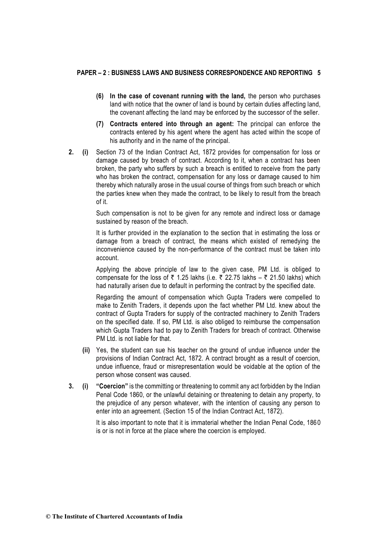- **(6) In the case of covenant running with the land,** the person who purchases land with notice that the owner of land is bound by certain duties affecting land, the covenant affecting the land may be enforced by the successor of the seller.
- **(7) Contracts entered into through an agent:** The principal can enforce the contracts entered by his agent where the agent has acted within the scope of his authority and in the name of the principal.
- **2. (i)** Section 73 of the Indian Contract Act, 1872 provides for compensation for loss or damage caused by breach of contract. According to it, when a contract has been broken, the party who suffers by such a breach is entitled to receive from the party who has broken the contract, compensation for any loss or damage caused to him thereby which naturally arose in the usual course of things from such breach or which the parties knew when they made the contract, to be likely to result from the breach of it.

Such compensation is not to be given for any remote and indirect loss or damage sustained by reason of the breach.

It is further provided in the explanation to the section that in estimating the loss or damage from a breach of contract, the means which existed of remedying the inconvenience caused by the non-performance of the contract must be taken into account.

Applying the above principle of law to the given case, PM Ltd. is obliged to compensate for the loss of  $\bar{\tau}$  1.25 lakhs (i.e.  $\bar{\tau}$  22.75 lakhs –  $\bar{\tau}$  21.50 lakhs) which had naturally arisen due to default in performing the contract by the specified date.

Regarding the amount of compensation which Gupta Traders were compelled to make to Zenith Traders, it depends upon the fact whether PM Ltd. knew about the contract of Gupta Traders for supply of the contracted machinery to Zenith Traders on the specified date. If so, PM Ltd. is also obliged to reimburse the compensation which Gupta Traders had to pay to Zenith Traders for breach of contract. Otherwise PM Ltd. is not liable for that.

- **(ii)** Yes, the student can sue his teacher on the ground of undue influence under the provisions of Indian Contract Act, 1872. A contract brought as a result of coercion, undue influence, fraud or misrepresentation would be voidable at the option of the person whose consent was caused.
- **3. (i) "Coercion"** is the committing or threatening to commit any act forbidden by the Indian Penal Code 1860, or the unlawful detaining or threatening to detain any property, to the prejudice of any person whatever, with the intention of causing any person to enter into an agreement. (Section 15 of the Indian Contract Act, 1872).

It is also important to note that it is immaterial whether the Indian Penal Code, 1860 is or is not in force at the place where the coercion is employed.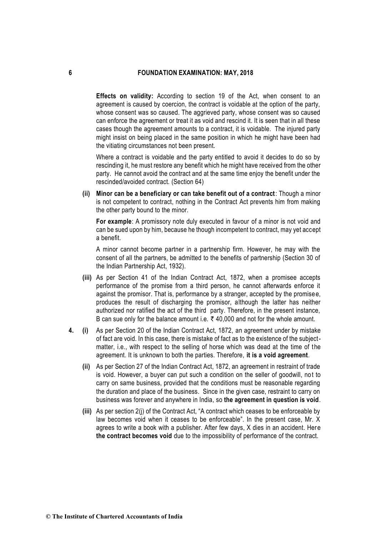**Effects on validity:** According to section 19 of the Act, when consent to an agreement is caused by coercion, the contract is voidable at the option of the party, whose consent was so caused. The aggrieved party, whose consent was so caused can enforce the agreement or treat it as void and rescind it. It is seen that in all these cases though the agreement amounts to a contract, it is voidable. The injured party might insist on being placed in the same position in which he might have been had the vitiating circumstances not been present.

Where a contract is voidable and the party entitled to avoid it decides to do so by rescinding it, he must restore any benefit which he might have received from the other party. He cannot avoid the contract and at the same time enjoy the benefit under the rescinded/avoided contract. (Section 64)

**(ii) Minor can be a beneficiary or can take benefit out of a contract**: Though a minor is not competent to contract, nothing in the Contract Act prevents him from making the other party bound to the minor.

**For example**: A promissory note duly executed in favour of a minor is not void and can be sued upon by him, because he though incompetent to contract, may yet accept a benefit.

A minor cannot become partner in a partnership firm. However, he may with the consent of all the partners, be admitted to the benefits of partnership (Section 30 of the Indian Partnership Act, 1932).

- **(iii)** As per Section 41 of the Indian Contract Act, 1872, when a promisee accepts performance of the promise from a third person, he cannot afterwards enforce it against the promisor. That is, performance by a stranger, accepted by the promisee, produces the result of discharging the promisor, although the latter has neither authorized nor ratified the act of the third party. Therefore, in the present instance, B can sue only for the balance amount i.e.  $\bar{\tau}$  40,000 and not for the whole amount.
- **4. (i)** As per Section 20 of the Indian Contract Act, 1872, an agreement under by mistake of fact are void. In this case, there is mistake of fact as to the existence of the subjectmatter, i.e., with respect to the selling of horse which was dead at the time of the agreement. It is unknown to both the parties. Therefore, **it is a void agreement**.
	- **(ii)** As per Section 27 of the Indian Contract Act, 1872, an agreement in restraint of trade is void. However, a buyer can put such a condition on the seller of goodwill, not to carry on same business, provided that the conditions must be reasonable regarding the duration and place of the business. Since in the given case, restraint to carry on business was forever and anywhere in India, so **the agreement in question is void**.
	- **(iii)** As per section 2(j) of the Contract Act, "A contract which ceases to be enforceable by law becomes void when it ceases to be enforceable". In the present case, Mr. X agrees to write a book with a publisher. After few days, X dies in an accident. Her e **the contract becomes void** due to the impossibility of performance of the contract.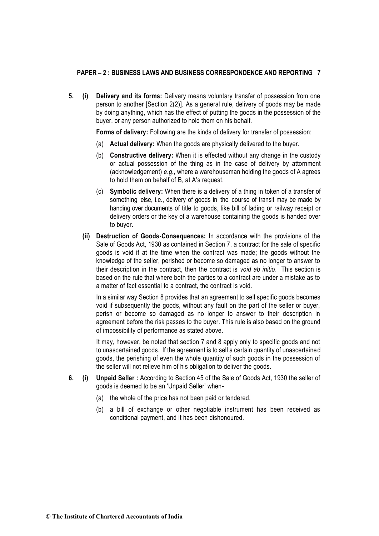**5. (i) Delivery and its forms:** Delivery means voluntary transfer of possession from one person to another [Section 2(2)]. As a general rule, delivery of goods may be made by doing anything, which has the effect of putting the goods in the possession of the buyer, or any person authorized to hold them on his behalf.

**Forms of delivery:** Following are the kinds of delivery for transfer of possession:

- (a) **Actual delivery:** When the goods are physically delivered to the buyer.
- (b) **Constructive delivery:** When it is effected without any change in the custody or actual possession of the thing as in the case of delivery by attornment (acknowledgement) *e.g.*, where a warehouseman holding the goods of A agrees to hold them on behalf of B, at A's request.
- (c) **Symbolic delivery:** When there is a delivery of a thing in token of a transfer of something else, i.e., delivery of goods in the course of transit may be made by handing over documents of title to goods, like bill of lading or railway receipt or delivery orders or the key of a warehouse containing the goods is handed over to buyer.
- **(ii) Destruction of Goods-Consequences:** In accordance with the provisions of the Sale of Goods Act, 1930 as contained in Section 7, a contract for the sale of specific goods is void if at the time when the contract was made; the goods without the knowledge of the seller, perished or become so damaged as no longer to answer to their description in the contract, then the contract is *void ab initio*. This section is based on the rule that where both the parties to a contract are under a mistake as to a matter of fact essential to a contract, the contract is void.

In a similar way Section 8 provides that an agreement to sell specific goods becomes void if subsequently the goods, without any fault on the part of the seller or buyer, perish or become so damaged as no longer to answer to their description in agreement before the risk passes to the buyer. This rule is also based on the ground of impossibility of performance as stated above.

It may, however, be noted that section 7 and 8 apply only to specific goods and not to unascertained goods. If the agreement is to sell a certain quantity of unascertained goods, the perishing of even the whole quantity of such goods in the possession of the seller will not relieve him of his obligation to deliver the goods.

- **6. (i) Unpaid Seller :** According to Section 45 of the Sale of Goods Act, 1930 the seller of goods is deemed to be an 'Unpaid Seller' when-
	- (a) the whole of the price has not been paid or tendered.
	- (b) a bill of exchange or other negotiable instrument has been received as conditional payment, and it has been dishonoured.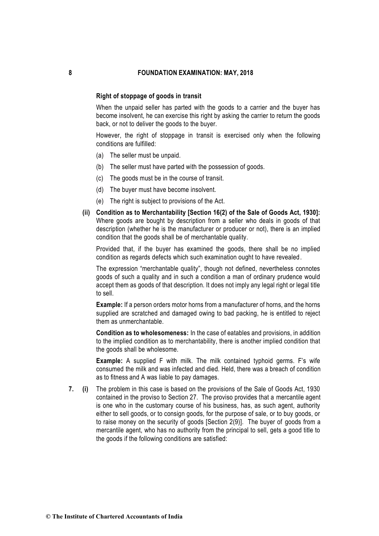#### **Right of stoppage of goods in transit**

When the unpaid seller has parted with the goods to a carrier and the buyer has become insolvent, he can exercise this right by asking the carrier to return the goods back, or not to deliver the goods to the buyer.

However, the right of stoppage in transit is exercised only when the following conditions are fulfilled:

- (a) The seller must be unpaid.
- (b) The seller must have parted with the possession of goods.
- (c) The goods must be in the course of transit.
- (d) The buyer must have become insolvent.
- (e) The right is subject to provisions of the Act.
- **(ii) Condition as to Merchantability [Section 16(2) of the Sale of Goods Act, 1930]:** Where goods are bought by description from a seller who deals in goods of that description (whether he is the manufacturer or producer or not), there is an implied condition that the goods shall be of merchantable quality.

Provided that, if the buyer has examined the goods, there shall be no implied condition as regards defects which such examination ought to have revealed.

The expression "merchantable quality", though not defined, nevertheless connotes goods of such a quality and in such a condition a man of ordinary prudence would accept them as goods of that description. It does not imply any legal right or legal title to sell.

**Example:** If a person orders motor horns from a manufacturer of horns, and the horns supplied are scratched and damaged owing to bad packing, he is entitled to reject them as unmerchantable.

**Condition as to wholesomeness:** In the case of eatables and provisions, in addition to the implied condition as to merchantability, there is another implied condition that the goods shall be wholesome.

**Example:** A supplied F with milk. The milk contained typhoid germs. F's wife consumed the milk and was infected and died. Held, there was a breach of condition as to fitness and A was liable to pay damages.

**7. (i)** The problem in this case is based on the provisions of the Sale of Goods Act, 1930 contained in the proviso to Section 27. The proviso provides that a mercantile agent is one who in the customary course of his business, has, as such agent, authority either to sell goods, or to consign goods, for the purpose of sale, or to buy goods, or to raise money on the security of goods [Section 2(9)]. The buyer of goods from a mercantile agent, who has no authority from the principal to sell, gets a good title to the goods if the following conditions are satisfied: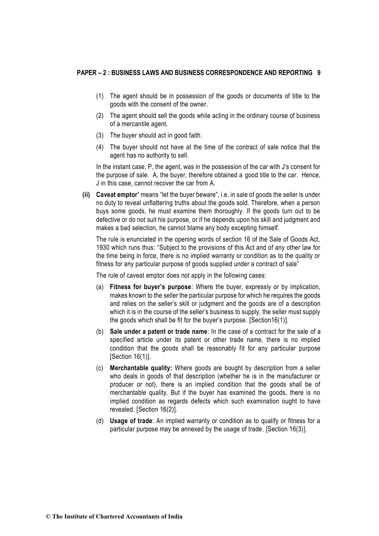- (1) The agent should be in possession of the goods or documents of title to the goods with the consent of the owner.
- (2) The agent should sell the goods while acting in the ordinary course of business of a mercantile agent.
- (3) The buyer should act in good faith.
- (4) The buyer should not have at the time of the contract of sale notice that the agent has no authority to sell.

In the instant case, P, the agent, was in the possession of the car with J's consent for the purpose of sale. A, the buyer, therefore obtained a good title to the car. Hence, J in this case, cannot recover the car from A.

**(ii) Caveat emptor'** means "let the buyer beware", i.e. in sale of goods the seller is under no duty to reveal unflattering truths about the goods sold. Therefore, when a person buys some goods, he must examine them thoroughly. If the goods turn out to be defective or do not suit his purpose, or if he depends upon his skill and judgment and makes a bad selection, he cannot blame any body excepting himself.

The rule is enunciated in the opening words of section 16 of the Sale of Goods Act, 1930 which runs thus: "Subject to the provisions of this Act and of any other law for the time being in force, there is no implied warranty or condition as to the quality or fitness for any particular purpose of goods supplied under a contract of sale"

The rule of caveat emptor does not apply in the following cases:

- (a) **Fitness for buyer's purpose**: Where the buyer, expressly or by implication, makes known to the seller the particular purpose for which he requires the goods and relies on the seller's skill or judgment and the goods are of a description which it is in the course of the seller's business to supply, the seller must supply the goods which shall be fit for the buyer's purpose. [Section16(1)].
- (b) **Sale under a patent or trade name**: In the case of a contract for the sale of a specified article under its patent or other trade name, there is no implied condition that the goods shall be reasonably fit for any particular purpose [Section 16(1)].
- (c) **Merchantable quality:** Where goods are bought by description from a seller who deals in goods of that description (whether he is in the manufacturer or producer or not), there is an implied condition that the goods shall be of merchantable quality. But if the buyer has examined the goods, there is no implied condition as regards defects which such examination ought to have revealed. [Section 16(2)].
- (d) **Usage of trade**: An implied warranty or condition as to qualify or fitness for a particular purpose may be annexed by the usage of trade. [Section 16(3)].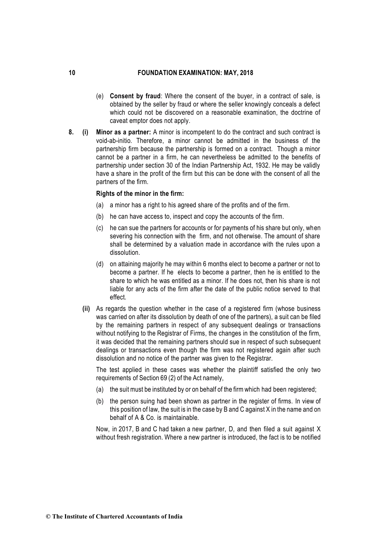- (e) **Consent by fraud**: Where the consent of the buyer, in a contract of sale, is obtained by the seller by fraud or where the seller knowingly conceals a defect which could not be discovered on a reasonable examination, the doctrine of caveat emptor does not apply.
- **8. (i) Minor as a partner:** A minor is incompetent to do the contract and such contract is void-ab-initio*.* Therefore, a minor cannot be admitted in the business of the partnership firm because the partnership is formed on a contract. Though a minor cannot be a partner in a firm, he can nevertheless be admitted to the benefits of partnership under section 30 of the Indian Partnership Act, 1932. He may be validly have a share in the profit of the firm but this can be done with the consent of all the partners of the firm.

#### **Rights of the minor in the firm:**

- (a) a minor has a right to his agreed share of the profits and of the firm.
- (b) he can have access to, inspect and copy the accounts of the firm.
- (c) he can sue the partners for accounts or for payments of his share but only, when severing his connection with the firm, and not otherwise. The amount of share shall be determined by a valuation made in accordance with the rules upon a dissolution.
- (d) on attaining majority he may within 6 months elect to become a partner or not to become a partner. If he elects to become a partner, then he is entitled to the share to which he was entitled as a minor. If he does not, then his share is not liable for any acts of the firm after the date of the public notice served to that effect.
- **(ii)** As regards the question whether in the case of a registered firm (whose business was carried on after its dissolution by death of one of the partners), a suit can be filed by the remaining partners in respect of any subsequent dealings or transactions without notifying to the Registrar of Firms, the changes in the constitution of the firm, it was decided that the remaining partners should sue in respect of such subsequent dealings or transactions even though the firm was not registered again after such dissolution and no notice of the partner was given to the Registrar.

The test applied in these cases was whether the plaintiff satisfied the only two requirements of Section 69 (2) of the Act namely,

- (a) the suit must be instituted by or on behalf of the firm which had been registered;
- (b) the person suing had been shown as partner in the register of firms. In view of this position of law, the suit is in the case by B and C against X in the name and on behalf of A & Co. is maintainable.

Now, in 2017, B and C had taken a new partner, D, and then filed a suit against X without fresh registration. Where a new partner is introduced, the fact is to be notified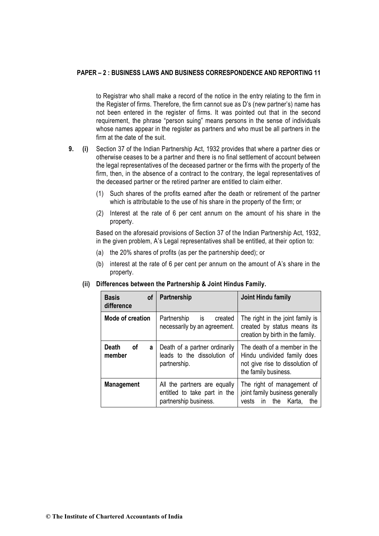to Registrar who shall make a record of the notice in the entry relating to the firm in the Register of firms. Therefore, the firm cannot sue as D's (new partner's) name has not been entered in the register of firms. It was pointed out that in the second requirement, the phrase "person suing" means persons in the sense of individuals whose names appear in the register as partners and who must be all partners in the firm at the date of the suit.

- **9. (i)** Section 37 of the Indian Partnership Act, 1932 provides that where a partner dies or otherwise ceases to be a partner and there is no final settlement of account between the legal representatives of the deceased partner or the firms with the property of the firm, then, in the absence of a contract to the contrary, the legal representatives of the deceased partner or the retired partner are entitled to claim either.
	- (1) Such shares of the profits earned after the death or retirement of the partner which is attributable to the use of his share in the property of the firm; or
	- (2) Interest at the rate of 6 per cent annum on the amount of his share in the property.

Based on the aforesaid provisions of Section 37 of the Indian Partnership Act, 1932, in the given problem, A's Legal representatives shall be entitled, at their option to:

- (a) the 20% shares of profits (as per the partnership deed); or
- (b) interest at the rate of 6 per cent per annum on the amount of A's share in the property.

| <b>Basis</b><br>0f<br>difference         | Partnership                                                                           | Joint Hindu family                                                                                                     |
|------------------------------------------|---------------------------------------------------------------------------------------|------------------------------------------------------------------------------------------------------------------------|
| <b>Mode of creation</b>                  | Partnership<br>created<br>is<br>necessarily by an agreement.                          | The right in the joint family is<br>created by status means its<br>creation by birth in the family.                    |
| <b>Death</b><br><b>of</b><br>a<br>member | Death of a partner ordinarily<br>leads to the dissolution of<br>partnership.          | The death of a member in the<br>Hindu undivided family does<br>not give rise to dissolution of<br>the family business. |
| <b>Management</b>                        | All the partners are equally<br>entitled to take part in the<br>partnership business. | The right of management of<br>joint family business generally<br>the<br>Karta,<br>vests<br>in.<br>the                  |

**(ii) Differences between the Partnership & Joint Hindus Family.**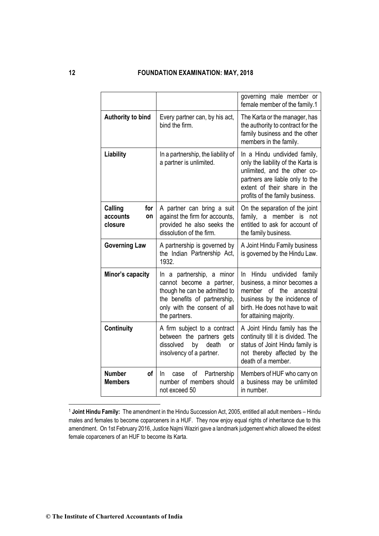|                                             |                                                                                                                                                                        | governing male member or<br>female member of the family.1                                                                                                                                                |
|---------------------------------------------|------------------------------------------------------------------------------------------------------------------------------------------------------------------------|----------------------------------------------------------------------------------------------------------------------------------------------------------------------------------------------------------|
| Authority to bind                           | Every partner can, by his act,<br>bind the firm.                                                                                                                       | The Karta or the manager, has<br>the authority to contract for the<br>family business and the other<br>members in the family.                                                                            |
| Liability                                   | In a partnership, the liability of<br>a partner is unlimited.                                                                                                          | In a Hindu undivided family,<br>only the liability of the Karta is<br>unlimited, and the other co-<br>partners are liable only to the<br>extent of their share in the<br>profits of the family business. |
| Calling<br>for<br>accounts<br>on<br>closure | A partner can bring a suit<br>against the firm for accounts,<br>provided he also seeks the<br>dissolution of the firm.                                                 | On the separation of the joint<br>family, a member<br>is not<br>entitled to ask for account of<br>the family business.                                                                                   |
| <b>Governing Law</b>                        | A partnership is governed by<br>the Indian Partnership Act,<br>1932.                                                                                                   | A Joint Hindu Family business<br>is governed by the Hindu Law.                                                                                                                                           |
| Minor's capacity                            | In a partnership, a minor<br>cannot become a partner,<br>though he can be admitted to<br>the benefits of partnership,<br>only with the consent of all<br>the partners. | In Hindu undivided family<br>business, a minor becomes a<br>member of the<br>ancestral<br>business by the incidence of<br>birth. He does not have to wait<br>for attaining majority.                     |
| Continuity                                  | A firm subject to a contract<br>between the partners gets<br>dissolved<br>by<br>death<br><b>or</b><br>insolvency of a partner.                                         | A Joint Hindu family has the<br>continuity till it is divided. The<br>status of Joint Hindu family is<br>not thereby affected by the<br>death of a member.                                               |
| <b>Number</b><br>οf<br><b>Members</b>       | of<br>Partnership<br>In.<br>case<br>number of members should<br>not exceed 50                                                                                          | Members of HUF who carry on<br>a business may be unlimited<br>in number.                                                                                                                                 |

<sup>1</sup> **Joint Hindu Family:** The amendment in the Hindu Succession Act, 2005, entitled all adult members – Hindu males and females to become coparceners in a HUF. They now enjoy equal rights of inheritance due to this amendment. On 1st February 2016, Justice Najmi Waziri gave a landmark judgement which allowed the eldest female coparceners of an HUF to become its Karta.

-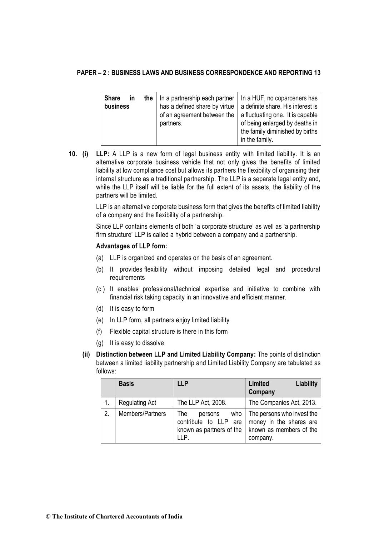| <b>Share</b><br>the<br>in<br>business | has a defined share by virtue<br>of an agreement between the<br>partners. | In a partnership each partner   In a HUF, no coparceners has<br>a definite share. His interest is<br>a fluctuating one. It is capable<br>of being enlarged by deaths in |
|---------------------------------------|---------------------------------------------------------------------------|-------------------------------------------------------------------------------------------------------------------------------------------------------------------------|
|                                       |                                                                           | the family diminished by births<br>in the family.                                                                                                                       |

**10. (i) LLP:** A LLP is a new form of legal business entity with limited liability. It is an alternative corporate business vehicle that not only gives the benefits of limited liability at low compliance cost but allows its partners the flexibility of organising their internal structure as a traditional partnership. The LLP is a separate legal entity and, while the LLP itself will be liable for the full extent of its assets, the liability of the partners will be limited.

> LLP is an alternative corporate business form that gives the benefits of limited liability of a company and the flexibility of a partnership.

> Since LLP contains elements of both 'a corporate structure' as well as 'a partnership firm structure' LLP is called a hybrid between a company and a partnership.

### **Advantages of LLP form:**

- (a) LLP is organized and operates on the basis of an agreement.
- (b) It provides flexibility without imposing detailed legal and procedural requirements
- (c ) It enables professional/technical expertise and initiative to combine with financial risk taking capacity in an innovative and efficient manner.
- (d) It is easy to form
- (e) In LLP form, all partners enjoy limited liability
- (f) Flexible capital structure is there in this form
- (g) It is easy to dissolve
- **(ii) Distinction between LLP and Limited Liability Company:** The points of distinction between a limited liability partnership and Limited Liability Company are tabulated as follows:

|    | <b>Basis</b>          | <b>LLP</b>                                                                                | <b>Liability</b><br>Limited<br>Company                                                       |
|----|-----------------------|-------------------------------------------------------------------------------------------|----------------------------------------------------------------------------------------------|
|    | <b>Regulating Act</b> | The LLP Act, 2008.                                                                        | The Companies Act, 2013.                                                                     |
| 2. | Members/Partners      | <b>The</b><br>who<br>persons<br>contribute to LLP are<br>known as partners of the<br>IIP. | The persons who invest the<br>money in the shares are<br>known as members of the<br>company. |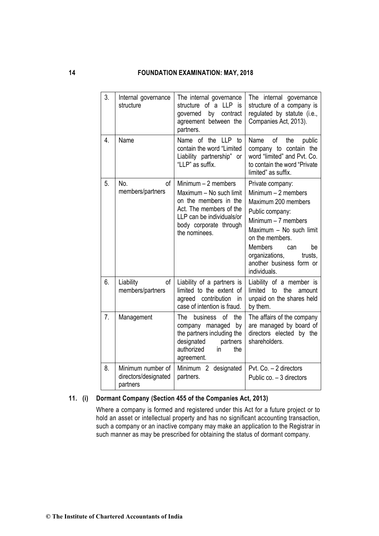| 3. | Internal governance<br>structure                      | The internal governance<br>structure of a LLP is<br>governed by contract<br>agreement between the<br>partners.                                                              | The internal governance<br>structure of a company is<br>regulated by statute (i.e.,<br>Companies Act, 2013).                                                                                                                                                     |
|----|-------------------------------------------------------|-----------------------------------------------------------------------------------------------------------------------------------------------------------------------------|------------------------------------------------------------------------------------------------------------------------------------------------------------------------------------------------------------------------------------------------------------------|
| 4. | Name                                                  | Name of the LLP<br>to<br>contain the word "Limited<br>Liability partnership" or<br>"LLP" as suffix.                                                                         | Name<br>0f<br>the<br>public<br>company to contain the<br>word "limited" and Pvt. Co.<br>to contain the word "Private"<br>limited" as suffix.                                                                                                                     |
| 5. | No.<br>of<br>members/partners                         | Minimum $-2$ members<br>Maximum - No such limit<br>on the members in the<br>Act. The members of the<br>LLP can be individuals/or<br>body corporate through<br>the nominees. | Private company:<br>Minimum $-2$ members<br>Maximum 200 members<br>Public company:<br>Minimum $-7$ members<br>Maximum - No such limit<br>on the members.<br><b>Members</b><br>be<br>can<br>organizations,<br>trusts,<br>another business form or<br>individuals. |
| 6. | of<br>Liability<br>members/partners                   | Liability of a partners is<br>limited to the extent of<br>agreed contribution<br>in.<br>case of intention is fraud.                                                         | Liability of a member is<br>limited<br>the<br>to<br>amount<br>unpaid on the shares held<br>by them.                                                                                                                                                              |
| 7. | Management                                            | The<br>business<br>of<br>the<br>by<br>company managed<br>the partners including the<br>designated<br>partners<br>authorized<br>the<br>in<br>agreement.                      | The affairs of the company<br>are managed by board of<br>directors elected by the<br>shareholders.                                                                                                                                                               |
| 8. | Minimum number of<br>directors/designated<br>partners | Minimum 2 designated<br>partners.                                                                                                                                           | Pvt. Co. - 2 directors<br>Public co. - 3 directors                                                                                                                                                                                                               |

### **11. (i) Dormant Company (Section 455 of the Companies Act, 2013)**

Where a company is formed and registered under this Act for a future project or to hold an asset or intellectual property and has no significant accounting transaction, such a company or an inactive company may make an application to the Registrar in such manner as may be prescribed for obtaining the status of dormant company.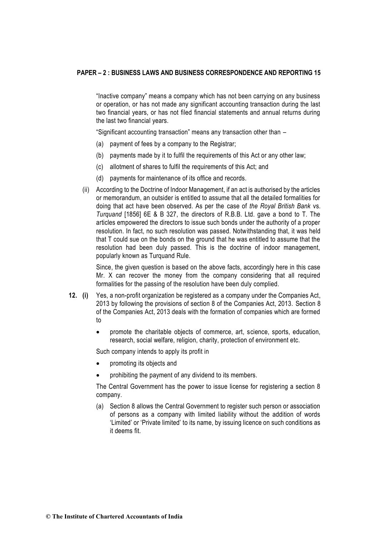"Inactive company" means a company which has not been carrying on any business or operation, or has not made any significant accounting transaction during the last two financial years, or has not filed financial statements and annual returns during the last two financial years.

"Significant accounting transaction" means any transaction other than –

- (a) payment of fees by a company to the Registrar;
- (b) payments made by it to fulfil the requirements of this Act or any other law;
- (c) allotment of shares to fulfil the requirements of this Act; and
- (d) payments for maintenance of its office and records.
- (ii) According to the Doctrine of Indoor Management, if an act is authorised by the articles or memorandum, an outsider is entitled to assume that all the detailed formalities for doing that act have been observed. As per the case of *the Royal British Bank* vs. *Turquand* [1856] 6E & B 327, the directors of R.B.B. Ltd. gave a bond to T. The articles empowered the directors to issue such bonds under the authority of a proper resolution. In fact, no such resolution was passed. Notwithstanding that, it was held that T could sue on the bonds on the ground that he was entitled to assume that the resolution had been duly passed. This is the doctrine of indoor management, popularly known as Turquand Rule.

Since, the given question is based on the above facts, accordingly here in this case Mr. X can recover the money from the company considering that all required formalities for the passing of the resolution have been duly complied.

- **12. (i)** Yes, a non-profit organization be registered as a company under the Companies Act, 2013 by following the provisions of section 8 of the Companies Act, 2013. Section 8 of the Companies Act, 2013 deals with the formation of companies which are formed to
	- promote the charitable objects of commerce, art, science, sports, education, research, social welfare, religion, charity, protection of environment etc.

Such company intends to apply its profit in

- promoting its objects and
- prohibiting the payment of any dividend to its members.

The Central Government has the power to issue license for registering a section 8 company.

(a) Section 8 allows the Central Government to register such person or association of persons as a company with limited liability without the addition of words 'Limited' or 'Private limited' to its name, by issuing licence on such conditions as it deems fit.